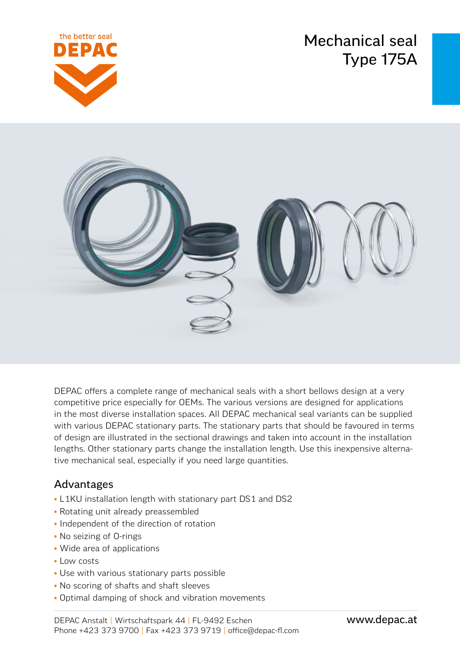Mechanical seal Type 175A





DEPAC offers a complete range of mechanical seals with a short bellows design at a very competitive price especially for OEMs. The various versions are designed for applications in the most diverse installation spaces. All DEPAC mechanical seal variants can be supplied with various DEPAC stationary parts. The stationary parts that should be favoured in terms of design are illustrated in the sectional drawings and taken into account in the installation lengths. Other stationary parts change the installation length. Use this inexpensive alternative mechanical seal, especially if you need large quantities.

### Advantages

- L1KU installation length with stationary part DS1 and DS2
- Rotating unit already preassembled
- Independent of the direction of rotation
- No seizing of O-rings
- Wide area of applications
- Low costs
- Use with various stationary parts possible
- No scoring of shafts and shaft sleeves
- Optimal damping of shock and vibration movements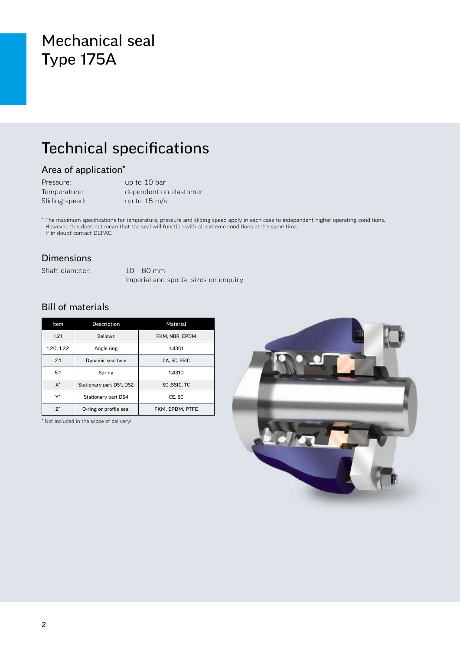## Mechanical seal Type 175A

# Technical specifications

### Area of application\*

| Pressure:      | up to 10 bar           |
|----------------|------------------------|
| Temperature:   | dependent on elastomer |
| Sliding speed: | up to $15 \text{ m/s}$ |

\* The maximum specifications for temperature, pressure and sliding speed apply in each case to independent higher operating conditions. However, this does not mean that the seal will function with all extreme conditions at the same time. If in doubt contact DEPAC.

#### Dimensions

Shaft diameter: 10 – 80 mm

Imperial and special sizes on enquiry

### Bill of materials

| Item       | Description              | Material        |  |  |
|------------|--------------------------|-----------------|--|--|
| 1.21       | <b>Bellows</b>           | FKM. NBR. EPDM  |  |  |
| 1.20, 1.22 | Angle ring               | 1.4301          |  |  |
| 2.1        | Dynamic seal face        | CA. SC. SSIC    |  |  |
| 5.1        | Spring                   | 1.4310          |  |  |
| $X^*$      | Stationary part DS1, DS2 | SC.SSIC.TC      |  |  |
| V*         | Stationary part DS4      | CE. SC          |  |  |
| $7^*$      | O-ring or profile seal   | FKM. EPDM. PTFE |  |  |

\* Not included in the scope of delivery!